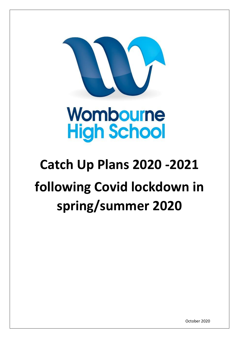

# Wombourne **High School**

# **Catch Up Plans 2020 -2021 following Covid lockdown in spring/summer 2020**

October 2020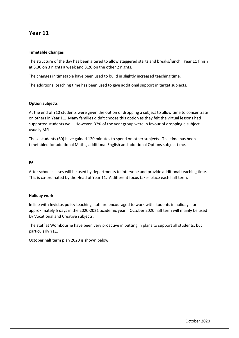## **Year 11**

### **Timetable Changes**

The structure of the day has been altered to allow staggered starts and breaks/lunch. Year 11 finish at 3.30 on 3 nights a week and 3.20 on the other 2 nights.

The changes in timetable have been used to build in slightly increased teaching time.

The additional teaching time has been used to give additional support in target subjects.

### **Option subjects**

At the end of Y10 students were given the option of dropping a subject to allow time to concentrate on others in Year 11. Many families didn't choose this option as they felt the virtual lessons had supported students well. However, 32% of the year group were in favour of dropping a subject, usually MFL.

These students (60) have gained 120 minutes to spend on other subjects. This time has been timetabled for additional Maths, additional English and additional Options subject time.

#### **P6**

After school classes will be used by departments to intervene and provide additional teaching time. This is co-ordinated by the Head of Year 11. A different focus takes place each half term.

#### **Holiday work**

In line with Invictus policy teaching staff are encouraged to work with students in holidays for approximately 5 days in the 2020-2021 academic year. October 2020 half term will mainly be used by Vocational and Creative subjects.

The staff at Wombourne have been very proactive in putting in plans to support all students, but particularly Y11.

October half term plan 2020 is shown below.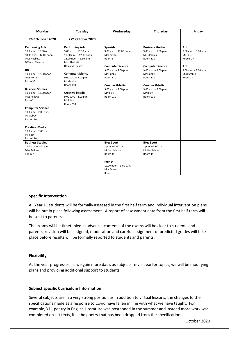| Monday                    | Tuesday                   | Wednesday                  | Thursday                  | Friday                   |
|---------------------------|---------------------------|----------------------------|---------------------------|--------------------------|
| 26th October 2020         | 27th October 2020         |                            |                           |                          |
| <b>Performing Arts</b>    | <b>Performing Arts</b>    | Spanish                    | <b>Business Studies</b>   | Art                      |
| $9.00$ a.m. $-10.30$ or   | $9.00$ a.m. $-10.30$ a.m. | $9.00$ a.m. $- 12.00$ noon | $9.00$ a.m. $-1.00$ p.m.  | $9.00$ a.m. $-3.00$ p.m. |
| 10.30 a.m. - 12.00 noon   | 10.30 a.m. - 12.00 noon   | Mrs Bevan                  | <b>Miss Parkes</b>        | Mr Carr                  |
| Miss Hackett              | 12.00 noon $- 1.30$ p.m.  | Room 8                     | Room 110                  | Rooms 27                 |
| DRS and Theatre           | Miss Hackett              |                            |                           |                          |
|                           | DRS and Theatre           | <b>Computer Science</b>    | <b>Computer Science</b>   | Art                      |
| D&T                       |                           | 9.00 a.m. - 2.00 p.m.      | $9.00$ a.m. $- 2.00$ p.m. | $9.00$ a.m. $-3.00$ p.m. |
| $9.00$ a.m. $-12.00$ noon | <b>Computer Science</b>   | Mr Gubby                   | Mr Gubby                  | <b>Miss Stokes</b>       |
| Miss Perry                | $9.00$ a.m. $- 2.00$ p.m. | Room 110                   | Room 110                  | Room 28                  |
| Room 35                   | Mr Gubby                  |                            |                           |                          |
|                           | Room 110                  | <b>Creative iMedia</b>     | <b>Creative iMedia</b>    |                          |
| <b>Business Studies</b>   |                           | $9.00$ a.m. $- 2.00$ p.m.  | $9.00$ a.m. $- 2.00$ p.m. |                          |
| $9.00 a.m. - 12.00 noon$  | <b>Creative iMedia</b>    | Mr Riley                   | Mr Riley                  |                          |
| Miss Fellows              | $9.00$ a.m. $- 2.00$ p.m. | Room 210                   | Room 210                  |                          |
| Room?                     | Mr Riley                  |                            |                           |                          |
|                           | <b>Room 210</b>           |                            |                           |                          |
| <b>Computer Science</b>   |                           |                            |                           |                          |
| $9.00$ a.m. $- 2.00$ p.m. |                           |                            |                           |                          |
| Mr Gubby                  |                           |                            |                           |                          |
| <b>Room 110</b>           |                           |                            |                           |                          |
| <b>Creative iMedia</b>    |                           |                            |                           |                          |
| $9.00$ a.m. $- 2.00$ p.m. |                           |                            |                           |                          |
| Mr Riley                  |                           |                            |                           |                          |
| <b>Room 210</b>           |                           |                            |                           |                          |
| <b>Business Studies</b>   |                           | <b>Btec Sport</b>          | <b>Btec Sport</b>         |                          |
| $1.00$ p.m. $-3.00$ p.m.  |                           | $1 p.m. - 3.00 p.m.$       | $1 p.m. - 3.00 p.m.$      |                          |
| Miss Fellows              |                           | Mr Hartlebury              | Mr Hartlebury             |                          |
| Room?                     |                           | Room 15                    | Room 15                   |                          |
|                           |                           | French                     |                           |                          |
|                           |                           | 12.00 noon $-3.00$ p.m.    |                           |                          |
|                           |                           | Mrs Bevan                  |                           |                          |
|                           |                           | Room 8                     |                           |                          |

#### **Specific Intervention**

All Year 11 students will be formally assessed in the first half term and individual intervention plans will be put in place following assessment. A report of assessment data from the first half term will be sent to parents.

The exams will be timetabled in advance, contents of the exams will be clear to students and parents, revision will be assigned, moderation and careful assignment of predicted grades will take place before results will be formally reported to students and parents.

#### **Flexibility**

As the year progresses, as we gain more data, as subjects re-visit earlier topics, we will be modifying plans and providing additional support to students.

#### **Subject specific Curriculum Information**

Several subjects are in a very strong position as in addition to virtual lessons, the changes to the specifications made as a response to Covid have fallen in line with what we have taught. For example, Y11 poetry in English Literature was postponed in the summer and instead more work was completed on set texts, it is the poetry that has been dropped from the specification.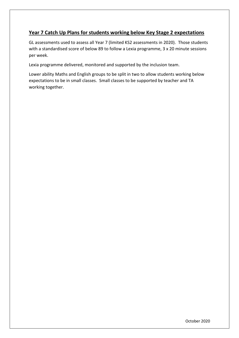## **Year 7 Catch Up Plans for students working below Key Stage 2 expectations**

GL assessments used to assess all Year 7 (limited KS2 assessments in 2020). Those students with a standardised score of below 89 to follow a Lexia programme, 3 x 20 minute sessions per week.

Lexia programme delivered, monitored and supported by the inclusion team.

Lower ability Maths and English groups to be split in two to allow students working below expectations to be in small classes. Small classes to be supported by teacher and TA working together.